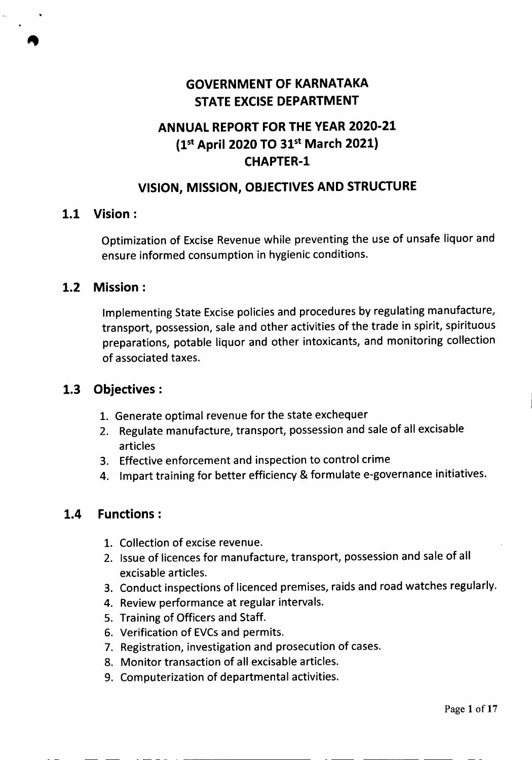# **GOVERNMENT OF KARNATAKA STATE EXCISE DEPARTMENT**

# **ANNUAL REPORT FOR THE YEAR 2020-21 (1st April 2020 TO 31st March 2021) CHAPTER-l**

## **VISION, MISSION, OBJECTIVESAND STRUCTURE**

#### **1.1 Vision:**

Optimization of Excise Revenue while preventing the use of unsafe liquor and ensure informed consumption in hygienic conditions.

#### **1.2 Mission:**

Implementing State Excise policies and procedures by regulating manufacture, transport, possession, sale and other activities of the trade in spirit, spirituous preparations, potable liquor and other intoxicants, and monitoring collection of associated taxes.

## **1.3 Objectives:**

- 1. Generate optimal revenue for the state exchequer
- 2. Regulate manufacture, transport, possession and sale of all excisable articles
- 3. Effective enforcement and inspection to control crime
- 4. Impart training for better efficiency & formulate e-governance initiatives.

## **1.4 Functions:**

- 1. Collection of excise revenue.
- 2. Issue of licences for manufacture, transport, possession and sale of all excisable articles.
- 3. Conduct inspections of licenced premises, raids and road watches regularly.
- 4. Review performance at regular intervals.
- 5. Training of Officers and Staff.

- -- - - - - . ---------

- 6. Verification of EVCs and permits.
- 7. Registration, investigation and prosecution of cases.
- 8. Monitor transaction of all excisable articles.
- 9. Computerization of departmental activities.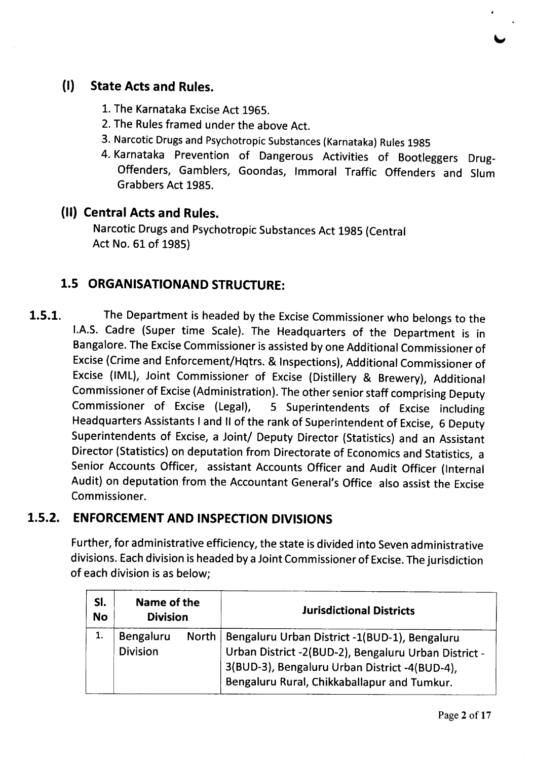

## **(I) State Acts and Rules.**

- 1. The Karnataka Excise Act 1965.
- 2. The Rules framed under the above Act.
- 3. Narcotic Drugs and Psychotropic Substances (Karnataka) Rules 1985
- 4. Karnataka Prevention of Dangerous Activities of Bootleggers Drug-Offenders, Gamblers, Goondas, Immoral Traffic Offenders and Slum Grabbers Act 1985.

#### **(II) Central Acts and Rules.**

Narcotic Drugs and Psychotropic Substances Act 1985 (Central Act No. 61 of 1985)

## **1.5 ORGANISATIONAND STRUCTURE:**

**1.5.1.** The Department is headed by the Excise Commissioner who belongs to the I.A.S. Cadre (Super time Scale). The Headquarters of the Department is in Bangalore. The Excise Commissioner is assisted by one Additional Commissioner of Excise(Crime and Enforcement/Hqtrs. & Inspections), Additional Commissioner of Excise (IML), Joint Commissioner of Excise (Distillery & Brewery), Additional Commissioner of Excise(Administration). The other senior staff comprising Deputy Commissioner of Excise (Legal), 5 Superintendents of Excise including Headquarters Assistants I and II of the rank of Superintendent of Excise, 6 Deputy Superintendents of Excise, a Joint/ Deputy Director (Statistics) and an Assistant Director (Statistics) on deputation from Directorate of Economics and Statistics, a Senior Accounts Officer, assistant Accounts Officer and Audit Officer (Internal Audit) on deputation from the Accountant General's Office also assist the Excise Commissioner.

## **1.5.2. ENFORCEMENT AND INSPECTION DIVISIONS**

Further, for administrative efficiency, the state is divided into Seven administrative divisions. Eachdivision is headed by a Joint Commissioner of Excise.The jurisdiction of each division is as below;

| SI.<br><b>No</b> | Name of the<br><b>Division</b> |  | <b>Jurisdictional Districts</b>                                                                                                                                                                               |
|------------------|--------------------------------|--|---------------------------------------------------------------------------------------------------------------------------------------------------------------------------------------------------------------|
|                  | Bengaluru<br><b>Division</b>   |  | North   Bengaluru Urban District -1(BUD-1), Bengaluru<br>Urban District -2(BUD-2), Bengaluru Urban District -<br>3(BUD-3), Bengaluru Urban District -4(BUD-4),<br>Bengaluru Rural, Chikkaballapur and Tumkur. |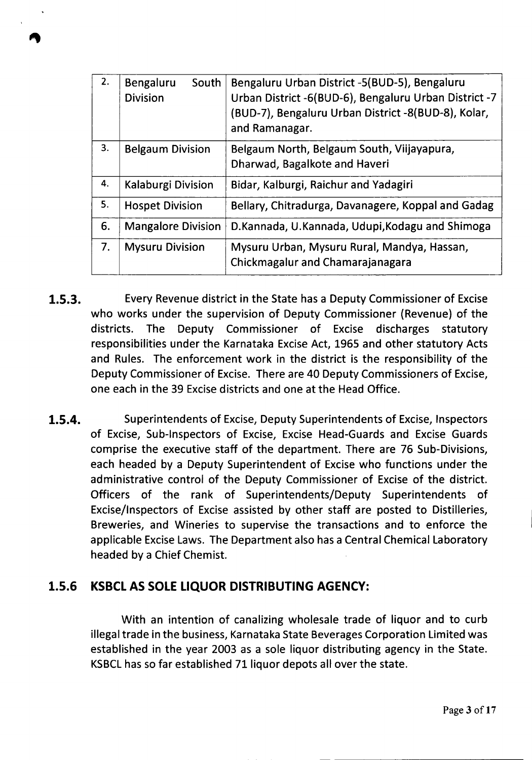| 2. | Bengaluru<br>South<br><b>Division</b>                                        | Bengaluru Urban District -5(BUD-5), Bengaluru<br>Urban District -6(BUD-6), Bengaluru Urban District -7<br>(BUD-7), Bengaluru Urban District -8(BUD-8), Kolar,<br>and Ramanagar. |
|----|------------------------------------------------------------------------------|---------------------------------------------------------------------------------------------------------------------------------------------------------------------------------|
| 3. | <b>Belgaum Division</b>                                                      | Belgaum North, Belgaum South, Viijayapura,<br>Dharwad, Bagalkote and Haveri                                                                                                     |
| 4. | Kalaburgi Division                                                           | Bidar, Kalburgi, Raichur and Yadagiri                                                                                                                                           |
| 5. | Bellary, Chitradurga, Davanagere, Koppal and Gadag<br><b>Hospet Division</b> |                                                                                                                                                                                 |
| 6. | <b>Mangalore Division</b>                                                    | D.Kannada, U.Kannada, Udupi, Kodagu and Shimoga                                                                                                                                 |
| 7. | <b>Mysuru Division</b>                                                       | Mysuru Urban, Mysuru Rural, Mandya, Hassan,<br>Chickmagalur and Chamarajanagara                                                                                                 |

- **1.5.3.** Every Revenue district in the State has a Deputy Commissioner of Excise who works under the supervision of Deputy Commissioner (Revenue) of the districts. The Deputy Commissioner of Excise discharges statutory responsibilities under the Karnataka Excise Act, 1965 and other statutory Acts and Rules. The enforcement work in the district is the responsibility of the Deputy Commissioner of Excise. There are 40 Deputy Commissioners of Excise, one each in the 39 Excise districts and one at the Head Office.
- **1.5.4.** Superintendents of Excise, Deputy Superintendents of Excise, Inspectors of Excise, Sub-Inspectors of Excise, Excise Head-Guards and Excise Guards comprise the executive staff of the department. There are 76 Sub-Divisions, each headed by a Deputy Superintendent of Excise who functions under the administrative control of the Deputy Commissioner of Excise of the district. Officers of the rank of Superintendents/Deputy Superintendents of Excise/Inspectors of Excise assisted by other staff are posted to Distilleries, Breweries, and Wineries to supervise the transactions and to enforce the applicable Excise Laws. The Department also has a Central Chemical Laboratory headed by a Chief Chemist.

#### **1.5.6 KSBCLAS SOLELIQUOR DISTRIBUTING AGENCY:**

With an intention of canalizing wholesale trade of liquor and to curb illegal trade in the business, Karnataka State Beverages Corporation Limited was established in the year 2003 as a sole liquor distributing agency in the State. KSBCL has so far established 71 liquor depots all over the state.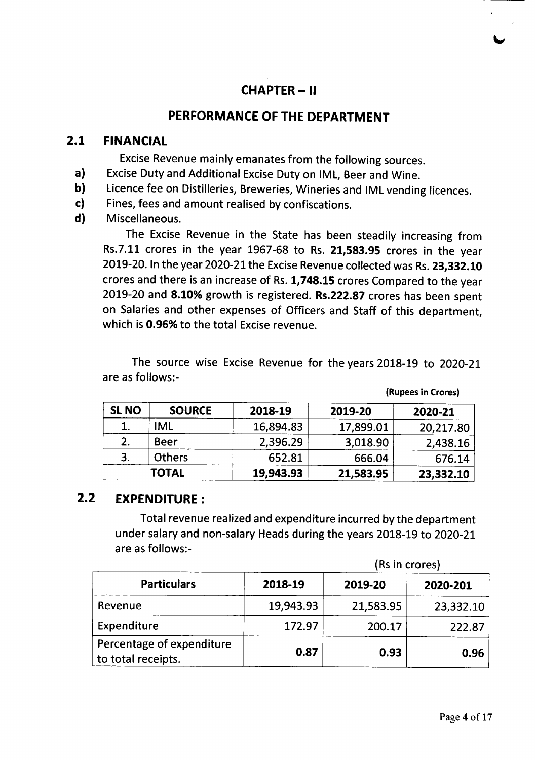# **CHAPTER -II**

#### **PERFORMANCE OF THE DEPARTMENT**

#### 2.1 **FINANCIAL**

Excise Revenue mainly emanates from the following sources.

- a) Excise Duty and Additional Excise Duty on IML, Beer and Wine.
- b) Licence fee on Distilleries, Breweries, Wineries and IML vending licences.
- c) Fines, fees and amount realised by confiscations.
- d) Miscellaneous.

The Excise Revenue in the State has been steadily increasing from Rs.7.11 crores in the year 1967-68 to Rs. 21,583.95 crores in the year 2019-20. In the year 2020-21 the Excise Revenue collected was Rs. 23,332.10 crores and there is an increase of Rs. 1,748.15 crores Compared to the year 2019-20 and 8.10% growth is registered. Rs.222.87 crores has been spent on Salaries and other expenses of Officers and Staff of this department, which is 0.96% to the total Excise revenue.

The source wise Excise Revenue for the years 2018-19 to 2020-21 are as follows:-

(Rupees in Crores)

| <b>SL NO</b> | <b>SOURCE</b> | 2018-19   | 2019-20   | 2020-21   |
|--------------|---------------|-----------|-----------|-----------|
|              | <b>IML</b>    | 16,894.83 | 17,899.01 | 20,217.80 |
| 2.           | Beer          | 2,396.29  | 3,018.90  | 2,438.16  |
| 3.           | <b>Others</b> | 652.81    | 666.04    | 676.14    |
|              | <b>TOTAL</b>  | 19,943.93 | 21,583.95 | 23,332.10 |

## 2.2 **EXPENDITURE:**

Total revenue realized and expenditure incurred by the department under salary and non-salary Heads during the years 2018-19 to 2020-21 are as follows:-

|                                                 | (Rs in crores) |           |           |  |
|-------------------------------------------------|----------------|-----------|-----------|--|
| <b>Particulars</b>                              | 2018-19        | 2019-20   | 2020-201  |  |
| Revenue                                         | 19,943.93      | 21,583.95 | 23,332.10 |  |
| Expenditure                                     | 172.97         | 200.17    | 222.87    |  |
| Percentage of expenditure<br>to total receipts. | 0.87           | 0.93      | 0.96      |  |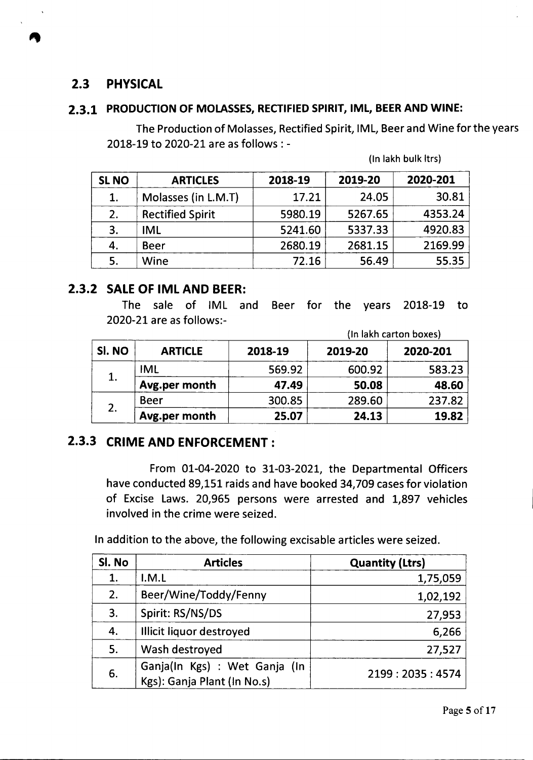## **2.3 PHYSICAL**

#### **2.3.1 PRODUCTION OF MOLASSES, RECTIFIED SPIRIT, IML, BEER AND WINE:**

The Production of Molasses, Rectified Spirit, IML, Beer and Wine for the years 2018-19 to 2020-21 are as follows: -

| <b>SL NO</b> | <b>ARTICLES</b>         | 2018-19 | 2019-20 | 2020-201 |
|--------------|-------------------------|---------|---------|----------|
| 1.           | Molasses (in L.M.T)     | 17.21   | 24.05   | 30.81    |
| 2.           | <b>Rectified Spirit</b> | 5980.19 | 5267.65 | 4353.24  |
| 3.           | <b>IML</b>              | 5241.60 | 5337.33 | 4920.83  |
| 4.           | <b>Beer</b>             | 2680.19 | 2681.15 | 2169.99  |
| 5.           | Wine                    | 72.16   | 56.49   | 55.35    |

(In lakh bulk Itrs)

#### **2.3.2 SALEOF IML AND BEER:**

The sale of IML and Beer for the years 2018-19 to 2020-21 are as follows:-

|        |                |         |         | (In lakh carton boxes) |
|--------|----------------|---------|---------|------------------------|
| SI. NO | <b>ARTICLE</b> | 2018-19 | 2019-20 | 2020-201               |
|        | <b>IML</b>     | 569.92  | 600.92  | 583.23                 |
| 1.     | Avg.per month  | 47.49   | 50.08   | 48.60                  |
| 2.     | <b>Beer</b>    | 300.85  | 289.60  | 237.82                 |
|        | Avg.per month  | 25.07   | 24.13   | 19.82                  |

# **2.3.3 CRIME AND ENFORCEMENT:**

From 01-04-2020 to 31-03-2021, the Departmental Officers have conducted 89,151 raids and have booked 34,709 cases for violation of Excise Laws. 20,965 persons were arrested and 1,897 vehicles involved in the crime were seized.

In addition to the above, the following excisable articles were seized.

| Si. No | <b>Articles</b>                                              | <b>Quantity (Ltrs)</b> |
|--------|--------------------------------------------------------------|------------------------|
| 1.     | I.M.L                                                        | 1,75,059               |
| 2.     | Beer/Wine/Toddy/Fenny                                        | 1,02,192               |
| 3.     | Spirit: RS/NS/DS                                             | 27,953                 |
| 4.     | Illicit liquor destroyed                                     | 6,266                  |
| 5.     | Wash destroyed                                               | 27,527                 |
| 6.     | Ganja(In Kgs) : Wet Ganja (In<br>Kgs): Ganja Plant (In No.s) | 2199:2035:4574         |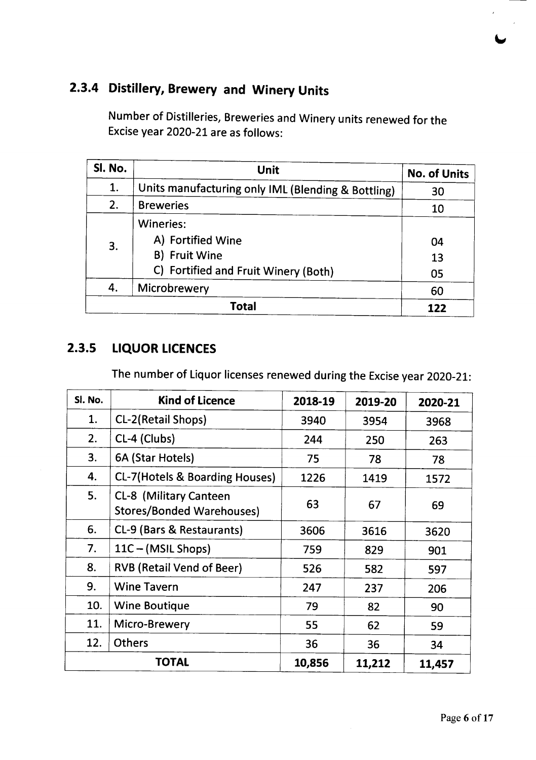# 2.3.4 Distillery, Brewery and Winery Units

Number of Distilleries, Breweries and Winery units renewed for the Excise year 2020-21 are as follows:

| Sl. No. | Unit<br>1.<br>Units manufacturing only IML (Blending & Bottling)                        |                |
|---------|-----------------------------------------------------------------------------------------|----------------|
|         |                                                                                         |                |
| 2.      | <b>Breweries</b>                                                                        | 10             |
| 3.      | Wineries:<br>A) Fortified Wine<br>B) Fruit Wine<br>C) Fortified and Fruit Winery (Both) | 04<br>13<br>05 |
| 4.      | Microbrewery                                                                            | 60             |
|         | <b>Total</b>                                                                            | 122            |

# 2.3.5 LIQUOR LICENCES

The number of Liquor licenses renewed during the Excise year 2020-21:

| Sl. No. | <b>Kind of Licence</b>                                     | 2018-19 | 2019-20 | 2020-21 |
|---------|------------------------------------------------------------|---------|---------|---------|
| 1.      | CL-2(Retail Shops)                                         | 3940    | 3954    | 3968    |
| 2.      | CL-4 (Clubs)                                               | 244     | 250     | 263     |
| 3.      | 6A (Star Hotels)                                           | 75      | 78      | 78      |
| 4.      | <b>CL-7(Hotels &amp; Boarding Houses)</b>                  | 1226    | 1419    | 1572    |
| 5.      | CL-8 (Military Canteen<br><b>Stores/Bonded Warehouses)</b> | 63      | 67      | 69      |
| 6.      | CL-9 (Bars & Restaurants)                                  | 3606    | 3616    | 3620    |
| 7.      | 11C - (MSIL Shops)                                         | 759     | 829     | 901     |
| 8.      | <b>RVB (Retail Vend of Beer)</b>                           | 526     | 582     | 597     |
| 9.      | <b>Wine Tavern</b>                                         | 247     | 237     | 206     |
| 10.     | <b>Wine Boutique</b>                                       | 79      | 82      | 90      |
| 11.     | Micro-Brewery                                              | 55      | 62      | 59      |
| 12.     | <b>Others</b>                                              | 36      | 36      | 34      |
|         | <b>TOTAL</b>                                               | 10,856  | 11,212  | 11,457  |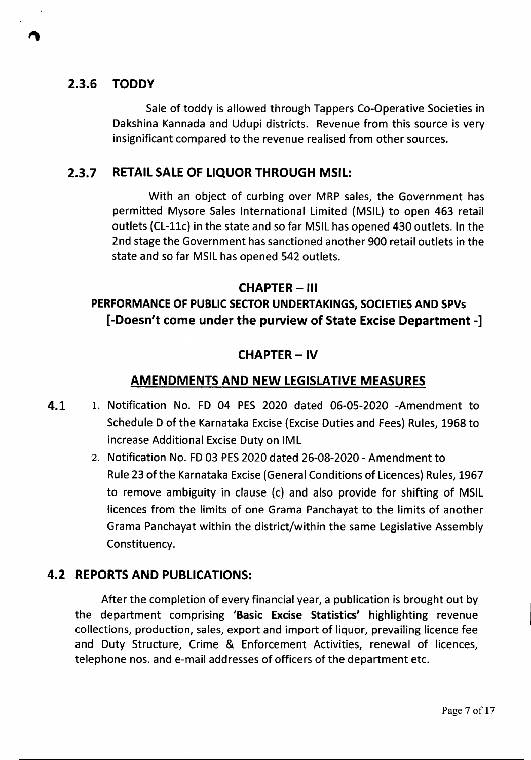#### 2.3.6 TODDY

Sale of toddy is allowed through Tappers Co-Operative Societies in Dakshina Kannada and Udupi districts. Revenue from this source is very insignificant compared to the revenue realised from other sources.

#### 2.3.7 RETAILSALEOF LIQUOR THROUGH MSIL:

With an object of curbing over MRP sales, the Government has permitted Mysore Sales International Limited (MSIL) to open 463 retail outlets (CL-11c) in the state and so far MSIL has opened 430 outlets. In the 2nd stage the Government has sanctioned another 900 retail outlets in the state and so far MSIL has opened 542 outlets.

#### CHAPTER- III

# PERFORMANCE OF PUBLIC SECTOR UNDERTAKINGS, SOCIETIES AND SPVs [-Doesn't come under the purview of State Excise Department -]

#### CHAPTER-IV

#### AMENDMENTS AND NEW LEGISLATIVE MEASURES

- 4.1 1. Notification No. FD 04 PES 2020 dated 06-05-2020 -Amendment to Schedule D of the Karnataka Excise (Excise Duties and Fees) Rules, 1968 to increase Additional Excise Duty on IML
	- 2. Notification No. FD03 PES2020 dated 26-08-2020 Amendment to Rule 23 of the Karnataka Excise(General Conditions of Licences) Rules, 1967 to remove ambiguity in clause (c) and also provide for shifting of MSIL licences from the limits of one Grama Panchayat to the limits of another Grama Panchayat within the district/within the same Legislative Assembly Constituency.

#### 4.2 REPORTSAND PUBLICATIONS:

After the completion of every financial year, a publication is brought out by the department comprising (Basic Excise Statistics' highlighting revenue collections, production, sales, export and import of liquor, prevailing licence fee and Duty Structure, Crime & Enforcement Activities, renewal of licences, telephone nos. and e-mail addresses of officers of the department etc.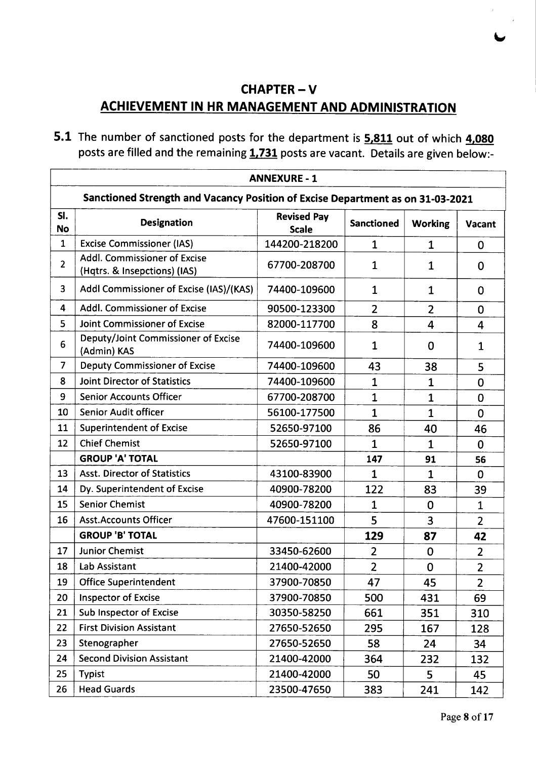# CHAPTER-V ACHIEVEMENT IN HR MANAGEMENT AND ADMINISTRATION

5.1 The number of sanctioned posts for the department is 5,811 out of which 4,080 posts are filled and the remaining 1,731 posts are vacant. Details are given below:-

|                  | <b>ANNEXURE - 1</b>                                                            |                                    |                   |                |                |  |  |
|------------------|--------------------------------------------------------------------------------|------------------------------------|-------------------|----------------|----------------|--|--|
|                  | Sanctioned Strength and Vacancy Position of Excise Department as on 31-03-2021 |                                    |                   |                |                |  |  |
| SI.<br><b>No</b> | <b>Designation</b>                                                             | <b>Revised Pay</b><br><b>Scale</b> | <b>Sanctioned</b> | <b>Working</b> | <b>Vacant</b>  |  |  |
| $\mathbf{1}$     | <b>Excise Commissioner (IAS)</b>                                               | 144200-218200                      | $\mathbf{1}$      | $\mathbf{1}$   | 0              |  |  |
| $\overline{2}$   | Addl. Commissioner of Excise<br>(Hqtrs. & Insepctions) (IAS)                   | 67700-208700                       | $\mathbf{1}$      | $\mathbf{1}$   | 0              |  |  |
| 3                | Addl Commissioner of Excise (IAS)/(KAS)                                        | 74400-109600                       | 1                 | 1              | 0              |  |  |
| 4                | Addl. Commissioner of Excise                                                   | 90500-123300                       | $\overline{2}$    | $\overline{2}$ | 0              |  |  |
| 5                | Joint Commissioner of Excise                                                   | 82000-117700                       | 8                 | $\overline{4}$ | 4              |  |  |
| 6                | Deputy/Joint Commissioner of Excise<br>(Admin) KAS                             | 74400-109600                       | $\mathbf{1}$      | 0              | $\mathbf{1}$   |  |  |
| $\overline{7}$   | <b>Deputy Commissioner of Excise</b>                                           | 74400-109600                       | 43                | 38             | 5              |  |  |
| 8                | <b>Joint Director of Statistics</b>                                            | 74400-109600                       | 1                 | 1              | 0              |  |  |
| 9                | <b>Senior Accounts Officer</b>                                                 | 67700-208700                       | $\mathbf{1}$      | $\overline{1}$ | 0              |  |  |
| 10               | <b>Senior Audit officer</b>                                                    | 56100-177500                       | $\mathbf{1}$      | $\mathbf{1}$   | 0              |  |  |
| 11               | <b>Superintendent of Excise</b>                                                | 52650-97100                        | 86                | 40             | 46             |  |  |
| 12               | <b>Chief Chemist</b>                                                           | 52650-97100                        | $\mathbf{1}$      | $\mathbf{1}$   | $\mathbf 0$    |  |  |
|                  | <b>GROUP 'A' TOTAL</b>                                                         |                                    | 147               | 91             | 56             |  |  |
| 13               | <b>Asst. Director of Statistics</b>                                            | 43100-83900                        | $\mathbf{1}$      | $\mathbf{1}$   | $\mathbf 0$    |  |  |
| 14               | Dy. Superintendent of Excise                                                   | 40900-78200                        | 122               | 83             | 39             |  |  |
| 15               | <b>Senior Chemist</b>                                                          | 40900-78200                        | $\mathbf 1$       | 0              | $\mathbf{1}$   |  |  |
| 16               | <b>Asst.Accounts Officer</b>                                                   | 47600-151100                       | 5                 | 3              | $\overline{2}$ |  |  |
|                  | <b>GROUP 'B' TOTAL</b>                                                         |                                    | 129               | 87             | 42             |  |  |
| 17               | <b>Junior Chemist</b>                                                          | 33450-62600                        | $\overline{2}$    | 0              | $\overline{2}$ |  |  |
| 18               | Lab Assistant                                                                  | 21400-42000                        | $\overline{2}$    | $\mathbf 0$    | $\overline{2}$ |  |  |
| 19               | <b>Office Superintendent</b>                                                   | 37900-70850                        | 47                | 45             | $\overline{2}$ |  |  |
| 20               | <b>Inspector of Excise</b>                                                     | 37900-70850                        | 500               | 431            | 69             |  |  |
| 21               | Sub Inspector of Excise                                                        | 30350-58250                        | 661               | 351            | 310            |  |  |
| 22               | <b>First Division Assistant</b>                                                | 27650-52650                        | 295               | 167            | 128            |  |  |
| 23               | Stenographer                                                                   | 27650-52650                        | 58                | 24             | 34             |  |  |
| 24               | <b>Second Division Assistant</b>                                               | 21400-42000                        | 364               | 232            | 132            |  |  |
| 25               | <b>Typist</b>                                                                  | 21400-42000                        | 50                | 5              | 45             |  |  |
| 26               | <b>Head Guards</b>                                                             | 23500-47650                        | 383               | 241            | 142            |  |  |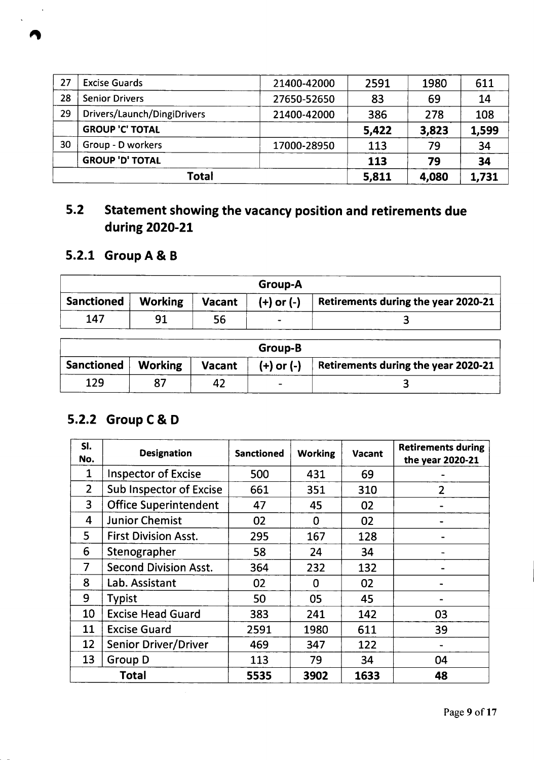|    | <b>Total</b>                |             | 5,811 | 4,080 | 1,731 |
|----|-----------------------------|-------------|-------|-------|-------|
|    | <b>GROUP 'D' TOTAL</b>      |             | 113   | 79    | 34    |
| 30 | Group - D workers           | 17000-28950 | 113   | 79    | 34    |
|    | <b>GROUP 'C' TOTAL</b>      |             | 5,422 | 3,823 | 1,599 |
| 29 | Drivers/Launch/DingiDrivers | 21400-42000 | 386   | 278   | 108   |
| 28 | <b>Senior Drivers</b>       | 27650-52650 | 83    | 69    | 14    |
| 27 | <b>Excise Guards</b>        | 21400-42000 | 2591  | 1980  | 611   |

# 5.2 Statement showing the vacancy position and retirements due during 2020-21

# 5.2.1 GroupA & B

| Group-A           |                |               |                |                                            |  |  |
|-------------------|----------------|---------------|----------------|--------------------------------------------|--|--|
| <b>Sanctioned</b> | <b>Working</b> | <b>Vacant</b> | $(+)$ or $(-)$ | <b>Retirements during the year 2020-21</b> |  |  |
| 147               | 91             | 56            |                |                                            |  |  |

| Group-B    |                |               |                |                                            |  |  |  |
|------------|----------------|---------------|----------------|--------------------------------------------|--|--|--|
| Sanctioned | <b>Working</b> | <b>Vacant</b> | $(+)$ or $(-)$ | <b>Retirements during the year 2020-21</b> |  |  |  |
| 129        |                |               | -              |                                            |  |  |  |

# 5.2.2 Group C& 0

| SI.<br>No.     | <b>Designation</b>             | <b>Sanctioned</b> | <b>Working</b> | <b>Vacant</b> | <b>Retirements during</b><br>the year 2020-21 |
|----------------|--------------------------------|-------------------|----------------|---------------|-----------------------------------------------|
| 1              | <b>Inspector of Excise</b>     | 500               | 431            | 69            |                                               |
| $\overline{2}$ | <b>Sub Inspector of Excise</b> | 661               | 351            | 310           | $\overline{2}$                                |
| 3              | <b>Office Superintendent</b>   | 47                | 45             | 02            |                                               |
| 4              | <b>Junior Chemist</b>          | 02                | 0              | 02            |                                               |
| 5              | <b>First Division Asst.</b>    | 295               | 167            | 128           |                                               |
| 6              | Stenographer                   | 58                | 24             | 34            |                                               |
| $\overline{7}$ | <b>Second Division Asst.</b>   | 364               | 232            | 132           |                                               |
| 8              | Lab. Assistant                 | 02                | 0              | 02            |                                               |
| 9              | <b>Typist</b>                  | 50                | 05             | 45            |                                               |
| 10             | <b>Excise Head Guard</b>       | 383               | 241            | 142           | 03                                            |
| 11             | <b>Excise Guard</b>            | 2591              | 1980           | 611           | 39                                            |
| 12             | <b>Senior Driver/Driver</b>    | 469               | 347            | 122           |                                               |
| 13             | Group D                        | 113               | 79             | 34            | 04                                            |
|                | <b>Total</b>                   | 5535              | 3902           | 1633          | 48                                            |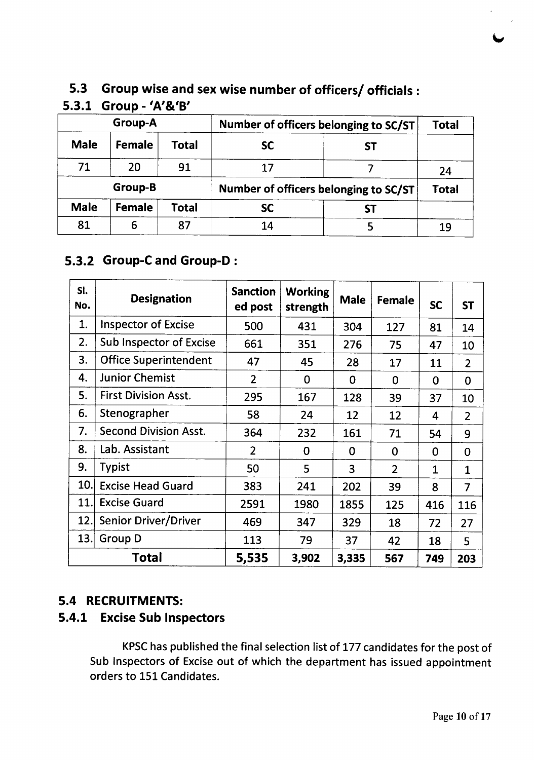# 5.3 Group wise and sex wise number of officers/ officials:<br>: 3.4 Group (3/9/B'

|                | $5.5.1$ Group - $A'B'$ |              |                                       |    |       |
|----------------|------------------------|--------------|---------------------------------------|----|-------|
| <b>Group-A</b> |                        |              | Number of officers belonging to SC/ST |    |       |
| <b>Male</b>    | Female                 | <b>Total</b> | <b>SC</b>                             | SТ |       |
| 71             | 20                     | 91           | 17                                    |    | 24    |
|                | Group-B                |              | Number of officers belonging to SC/ST |    | Total |
| <b>Male</b>    | Female                 | <b>Total</b> | <b>SC</b>                             | SΤ |       |
| 81             | 6                      | 87           | 14                                    |    | 19    |

# 5.3.1 Group - 'A'&'8'

## 5.3.2 Group-Cand Group-D :

| SI.<br>No. | <b>Designation</b>             | <b>Sanction</b><br>ed post | <b>Working</b><br>strength | <b>Male</b>    | Female         | <b>SC</b>    | <b>ST</b>      |
|------------|--------------------------------|----------------------------|----------------------------|----------------|----------------|--------------|----------------|
| 1.         | <b>Inspector of Excise</b>     | 500                        | 431                        | 304            | 127            | 81           | 14             |
| 2.         | <b>Sub Inspector of Excise</b> | 661                        | 351                        | 276            | 75             | 47           | 10             |
| 3.         | <b>Office Superintendent</b>   | 47                         | 45                         | 28             | 17             | 11           | $\overline{2}$ |
| 4.         | <b>Junior Chemist</b>          | $\overline{2}$             | $\mathbf 0$                | $\mathbf 0$    | $\mathbf 0$    | $\mathbf 0$  | $\mathbf 0$    |
| 5.         | <b>First Division Asst.</b>    | 295                        | 167                        | 128            | 39             | 37           | 10             |
| 6.         | Stenographer                   | 58                         | 24                         | 12             | 12             | 4            | $\overline{2}$ |
| 7.         | <b>Second Division Asst.</b>   | 364                        | 232                        | 161            | 71             | 54           | 9              |
| 8.         | Lab. Assistant                 | $\overline{2}$             | 0                          | $\Omega$       | $\Omega$       | $\Omega$     | $\Omega$       |
| 9.         | <b>Typist</b>                  | 50                         | 5                          | $\overline{3}$ | $\overline{2}$ | $\mathbf{1}$ | $\mathbf{1}$   |
| 10.        | <b>Excise Head Guard</b>       | 383                        | 241                        | 202            | 39             | 8            | $\overline{7}$ |
| 11.        | <b>Excise Guard</b>            | 2591                       | 1980                       | 1855           | 125            | 416          | 116            |
| 12.        | <b>Senior Driver/Driver</b>    | 469                        | 347                        | 329            | 18             | 72           | 27             |
| 13.        | Group D                        | 113                        | 79                         | 37             | 42             | 18           | 5              |
| Total      |                                | 5,535                      | 3,902                      | 3,335          | 567            | 749          | 203            |

## 5.4 RECRUITMENTS:

# 5.4.1 Excise Sub Inspectors

KPSChas published the final selection list of 177 candidates for the post of Sub Inspectors of Excise out of which the department has issued appointment orders to 151 Candidates.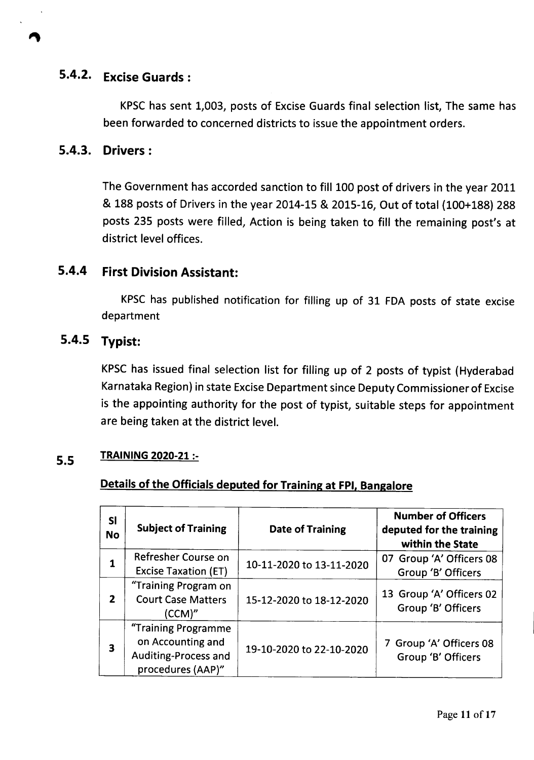# **5.4.2. Excise Guards:**

KPSChas sent 1,003, posts of Excise Guards final selection list, The same has been forwarded to concerned districts to issue the appointment orders.

#### **5.4.3. Drivers:**

The Government has accorded sanction to fill 100 post of drivers in the year 2011 & 188 posts of Drivers in the year 2014-15 & 2015-16, Out of total (100+188) 288 posts 235 posts were filled, Action is being taken to fill the remaining post's at district level offices.

## **5.4.4 First Division Assistant:**

KPSC has published notification for filling up of 31 FDA posts of state excise department

#### **5.4.5 Typist:**

KPSChas issued final selection list for filling up of 2 posts of typist (Hyderabad Karnataka Region) in state Excise Department since Deputy Commissioner of Excise is the appointing authority for the post of typist, suitable steps for appointment are being taken at the district level.

## **5.5 TRAINING 2020-21 :-**

#### **Details of the Officials deputed for Training at FPI, Bangalore**

| SI<br><b>No</b> | <b>Subject of Training</b>                                                            | <b>Date of Training</b>  | <b>Number of Officers</b><br>deputed for the training<br>within the State |
|-----------------|---------------------------------------------------------------------------------------|--------------------------|---------------------------------------------------------------------------|
|                 | Refresher Course on<br><b>Excise Taxation (ET)</b>                                    | 10-11-2020 to 13-11-2020 | 07 Group 'A' Officers 08<br>Group 'B' Officers                            |
| $\overline{2}$  | "Training Program on<br><b>Court Case Matters</b><br>(CCM)''                          | 15-12-2020 to 18-12-2020 | 13 Group 'A' Officers 02<br>Group 'B' Officers                            |
| 3               | "Training Programme<br>on Accounting and<br>Auditing-Process and<br>procedures (AAP)" | 19-10-2020 to 22-10-2020 | 7 Group 'A' Officers 08<br>Group 'B' Officers                             |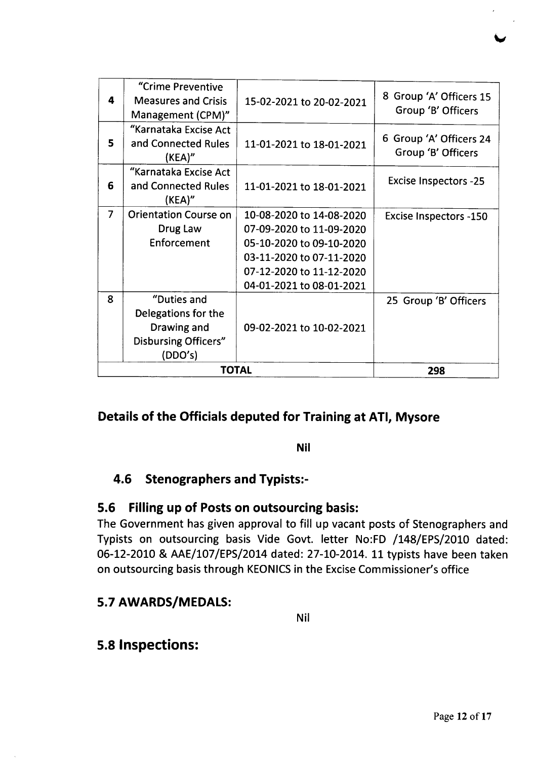|                | <b>TOTAL</b>                                 | 298                      |                                               |
|----------------|----------------------------------------------|--------------------------|-----------------------------------------------|
|                | <b>Disbursing Officers"</b><br>(DDO's)       |                          |                                               |
|                | Drawing and                                  | 09-02-2021 to 10-02-2021 |                                               |
|                | Delegations for the                          |                          |                                               |
| 8              | "Duties and                                  |                          | 25 Group 'B' Officers                         |
|                |                                              | 04-01-2021 to 08-01-2021 |                                               |
|                |                                              | 07-12-2020 to 11-12-2020 |                                               |
|                |                                              | 03-11-2020 to 07-11-2020 |                                               |
|                | Enforcement                                  | 05-10-2020 to 09-10-2020 |                                               |
|                | Drug Law                                     | 07-09-2020 to 11-09-2020 |                                               |
| $\overline{7}$ | <b>Orientation Course on</b>                 | 10-08-2020 to 14-08-2020 | <b>Excise Inspectors -150</b>                 |
|                | (KEA)"                                       |                          |                                               |
| 6              | "Karnataka Excise Act<br>and Connected Rules | 11-01-2021 to 18-01-2021 | Excise Inspectors -25                         |
| 5              | and Connected Rules<br>(KEA)''               | 11-01-2021 to 18-01-2021 | 6 Group 'A' Officers 24<br>Group 'B' Officers |
|                | "Karnataka Excise Act                        |                          |                                               |
|                | Management (CPM)"                            |                          | Group 'B' Officers                            |
| 4              | <b>Measures and Crisis</b>                   | 15-02-2021 to 20-02-2021 | 8 Group 'A' Officers 15                       |
|                | "Crime Preventive                            |                          |                                               |

## **Details of the Officials deputed for Training at ATI, Mysore**

#### **Nil**

## **4.6 Stenographers and Typists:-**

#### **5.6 Filling up of Posts on outsourcing basis:**

The Government has given approval to fill up vacant posts of Stenographers and Typists on outsourcing basis Vide Govt. letter No:FD /148/EPS/2010 dated: 06-12-2010 & AAE/107/EPS/2014 dated: 27-10-2014. 11 typists have been taken on outsourcing basis through KEONICS in the Excise Commissioner's office

## **5.7 AWARDS/MEDALS:**

Nil

# **5.8 Inspections:**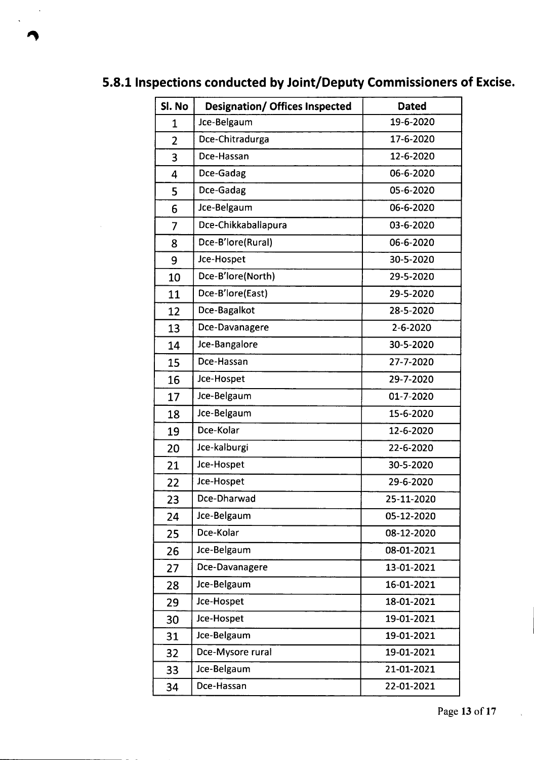| Sl. No         | <b>Designation/ Offices Inspected</b> | <b>Dated</b>   |
|----------------|---------------------------------------|----------------|
| 1              | Jce-Belgaum                           | 19-6-2020      |
| $\overline{2}$ | Dce-Chitradurga                       | 17-6-2020      |
| 3              | Dce-Hassan                            | 12-6-2020      |
| 4              | Dce-Gadag                             | 06-6-2020      |
| 5              | Dce-Gadag                             | 05-6-2020      |
| 6              | Jce-Belgaum                           | 06-6-2020      |
| $\overline{7}$ | Dce-Chikkaballapura                   | 03-6-2020      |
| 8              | Dce-B'lore(Rural)                     | 06-6-2020      |
| 9              | Jce-Hospet                            | 30-5-2020      |
| 10             | Dce-B'lore(North)                     | 29-5-2020      |
| 11             | Dce-B'lore(East)                      | 29-5-2020      |
| 12             | Dce-Bagalkot                          | 28-5-2020      |
| 13             | Dce-Davanagere                        | $2 - 6 - 2020$ |
| 14             | Jce-Bangalore                         | 30-5-2020      |
| 15             | Dce-Hassan                            | 27-7-2020      |
| 16             | Jce-Hospet                            | 29-7-2020      |
| 17             | Jce-Belgaum                           | 01-7-2020      |
| 18             | Jce-Belgaum                           | 15-6-2020      |
| 19             | Dce-Kolar                             | 12-6-2020      |
| 20             | Jce-kalburgi                          | 22-6-2020      |
| 21             | Jce-Hospet                            | 30-5-2020      |
| 22             | Jce-Hospet                            | 29-6-2020      |
| 23             | Dce-Dharwad                           | 25-11-2020     |
| 24             | Jce-Belgaum                           | 05-12-2020     |
| 25             | Dce-Kolar                             | 08-12-2020     |
| 26             | Jce-Belgaum                           | 08-01-2021     |
| 27             | Dce-Davanagere                        | 13-01-2021     |
| 28             | Jce-Belgaum                           | 16-01-2021     |
| 29             | Jce-Hospet                            | 18-01-2021     |
| 30             | Jce-Hospet                            | 19-01-2021     |
| 31             | Jce-Belgaum                           | 19-01-2021     |
| 32             | Dce-Mysore rural                      | 19-01-2021     |
| 33             | Jce-Belgaum                           | 21-01-2021     |
| 34             | Dce-Hassan                            | 22-01-2021     |

# 5.8.1 Inspections conducted by Joint/Deputy Commissioners of Excise.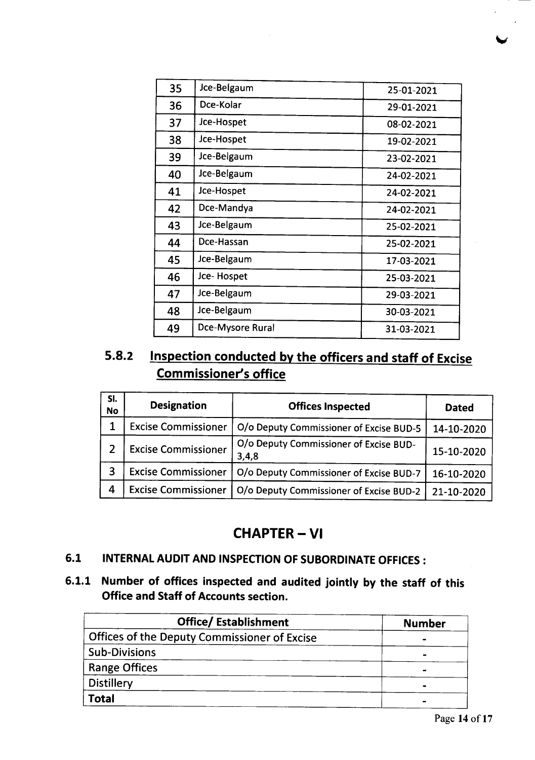| 35 | Jce-Belgaum      | 25-01-2021 |
|----|------------------|------------|
| 36 | Dce-Kolar        | 29-01-2021 |
| 37 | Jce-Hospet       | 08-02-2021 |
| 38 | Jce-Hospet       | 19-02-2021 |
| 39 | Jce-Belgaum      | 23-02-2021 |
| 40 | Jce-Belgaum      | 24-02-2021 |
| 41 | Jce-Hospet       | 24-02-2021 |
| 42 | Dce-Mandya       | 24-02-2021 |
| 43 | Jce-Belgaum      | 25-02-2021 |
| 44 | Dce-Hassan       | 25-02-2021 |
| 45 | Jce-Belgaum      | 17-03-2021 |
| 46 | Jce-Hospet       | 25-03-2021 |
| 47 | Jce-Belgaum      | 29-03-2021 |
| 48 | Jce-Belgaum      | 30-03-2021 |
| 49 | Dce-Mysore Rural | 31-03-2021 |

# 5.8.2 Inspection conducted by the officers and staff of Excise Commissioner's office

| SI.<br><b>No</b> | <b>Designation</b>         | <b>Offices Inspected</b>                        | <b>Dated</b> |
|------------------|----------------------------|-------------------------------------------------|--------------|
| 1                | <b>Excise Commissioner</b> | O/o Deputy Commissioner of Excise BUD-5         | 14-10-2020   |
|                  | <b>Excise Commissioner</b> | O/o Deputy Commissioner of Excise BUD-<br>3,4,8 | 15-10-2020   |
| 3                | <b>Excise Commissioner</b> | O/o Deputy Commissioner of Excise BUD-7         | 16-10-2020   |
| 4                | <b>Excise Commissioner</b> | O/o Deputy Commissioner of Excise BUD-2         | 21-10-2020   |

# CHAPTER- VI

## 6.1 INTERNAL AUDIT AND INSPECTION OF SUBORDINATE OFFICES:

# 6.1.1 Number of offices inspected and audited jointly by the staff of this Office and Staff of Accounts section.

| <b>Office/Establishment</b>                  | <b>Number</b> |
|----------------------------------------------|---------------|
| Offices of the Deputy Commissioner of Excise |               |
| <b>Sub-Divisions</b>                         |               |
| <b>Range Offices</b>                         | $\sim$        |
| Distillery                                   | -             |
| <b>Total</b>                                 | -             |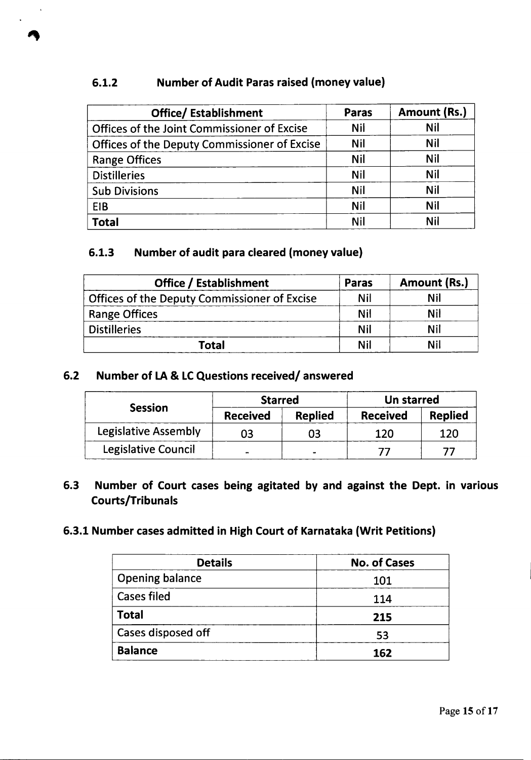#### 6.1.2 Number of Audit Paras raised (money value)

| <b>Office/Establishment</b>                  | Paras      | Amount (Rs.) |
|----------------------------------------------|------------|--------------|
| Offices of the Joint Commissioner of Excise  | <b>Nil</b> | <b>Nil</b>   |
| Offices of the Deputy Commissioner of Excise | <b>Nil</b> | <b>Nil</b>   |
| <b>Range Offices</b>                         | <b>Nil</b> | <b>Nil</b>   |
| <b>Distilleries</b>                          | <b>Nil</b> | <b>Nil</b>   |
| <b>Sub Divisions</b>                         | <b>Nil</b> | <b>Nil</b>   |
| EIB                                          | <b>Nil</b> | <b>Nil</b>   |
| Total                                        | Nil        | Nil          |

#### 6.1.3 Number of audit para cleared (money value)

| <b>Office / Establishment</b>                       | <b>Paras</b> | Amount (Rs.) |
|-----------------------------------------------------|--------------|--------------|
| <b>Offices of the Deputy Commissioner of Excise</b> | Nil          | Nil          |
| <b>Range Offices</b>                                | Nil          | Nil          |
| <b>Distilleries</b>                                 | <b>Nil</b>   | Nil          |
| Total                                               | Nil          | Nil          |

#### 6.2 Number of LA& LCQuestions received/ answered

|                      | <b>Starred</b>  |                | Un starred      |                |
|----------------------|-----------------|----------------|-----------------|----------------|
| <b>Session</b>       | <b>Received</b> | <b>Replied</b> | <b>Received</b> | <b>Replied</b> |
| Legislative Assembly | 03              | 03             | 120             | 120            |
| Legislative Council  |                 |                |                 |                |

#### 6.3 Number of Court cases being agitated by and against the Dept. in various Courts/Tribunals

#### 6.3.1 Number cases admitted in High Court of Karnataka (Writ Petitions)

| <b>Details</b>         | <b>No. of Cases</b> |
|------------------------|---------------------|
| <b>Opening balance</b> | 101                 |
| <b>Cases filed</b>     | 114                 |
| <b>Total</b>           | 215                 |
| Cases disposed off     | 53                  |
| <b>Balance</b>         | 162                 |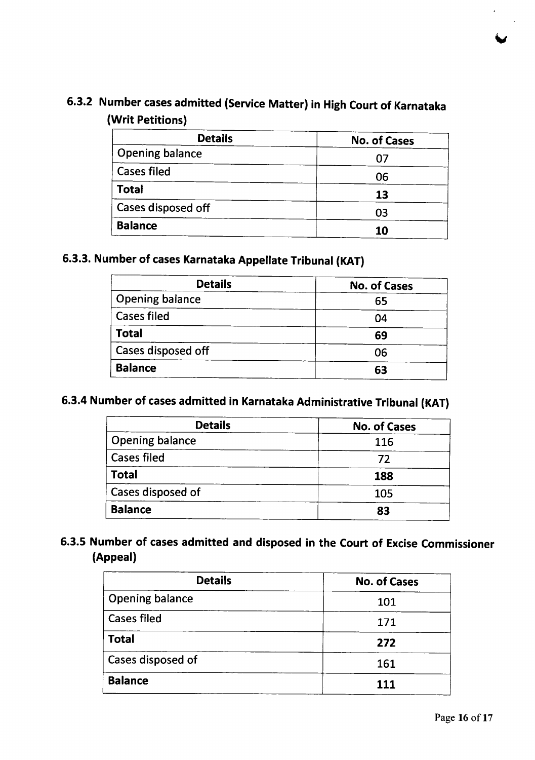# 6.3.2 Number cases admitted (Service Matter) in High Court of Karnataka (Writ Petitions)

| <b>Details</b>         | <b>No. of Cases</b> |  |
|------------------------|---------------------|--|
| <b>Opening balance</b> | 07                  |  |
| <b>Cases filed</b>     | 06                  |  |
| <b>Total</b>           | 13                  |  |
| Cases disposed off     | 03                  |  |
| <b>Balance</b>         | 10                  |  |

# 6.3.3. Number of cases Karnataka Appellate Tribunal (KAT)

| <b>Details</b>         | <b>No. of Cases</b> |
|------------------------|---------------------|
| <b>Opening balance</b> | 65                  |
| <b>Cases filed</b>     | 04                  |
| <b>Total</b>           | 69                  |
| Cases disposed off     | 06                  |
| <b>Balance</b>         | 63                  |

# 6.3.4 Number of cases admitted in Karnataka Administrative Tribunal (KAT)

| <b>Details</b>         | <b>No. of Cases</b> |
|------------------------|---------------------|
| <b>Opening balance</b> | 116                 |
| <b>Cases filed</b>     | 72                  |
| Total                  | 188                 |
| Cases disposed of      | 105                 |
| <b>Balance</b>         | 83                  |

## 6.3.5 Number of cases admitted and disposed in the Court of Excise Commissioner (Appeal)

| <b>Details</b>         | <b>No. of Cases</b> |  |
|------------------------|---------------------|--|
| <b>Opening balance</b> | 101                 |  |
| <b>Cases filed</b>     | 171                 |  |
| <b>Total</b>           | 272                 |  |
| Cases disposed of      | 161                 |  |
| <b>Balance</b>         | 111                 |  |